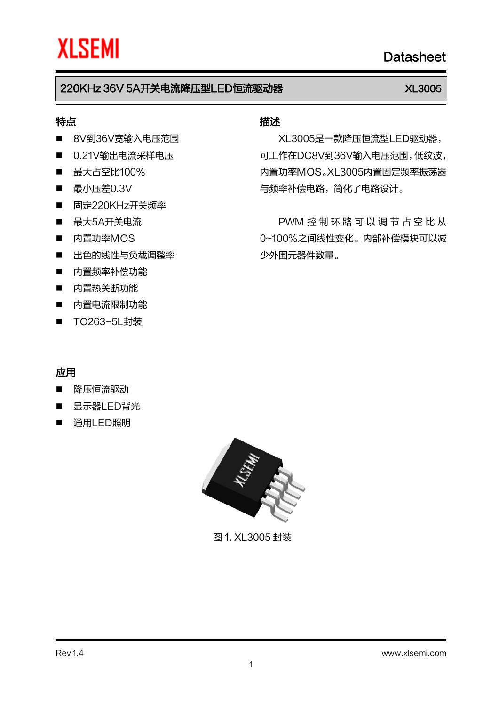## 特点

- 8V到36V宽输入电压范围
- 0.21V输出电流采样电压
- 最大占空比100%
- 最小压差0.3V
- 固定220KHz开关频率
- 最大5A开关电流
- 内置功率MOS
- 出色的线性与负载调整率
- 内置频率补偿功能
- 内置热关断功能
- 内置电流限制功能
- TO263-5L封装

## 描述

XL3005是一款降压恒流型LED驱动器, 可工作在DC8V到36V输入电压范围,低纹波, 内置功率MOS。XL3005内置固定频率振荡器 与频率补偿电路,简化了电路设计。

PWM 控 制 环 路 可 以 调 节 占 空 比 从 0~100%之间线性变化。内部补偿模块可以减 少外围元器件数量。

## 应用

- 降压恒流驱动
- 显示器LED背光
- 通用LED照明



图 1. XL3005 封装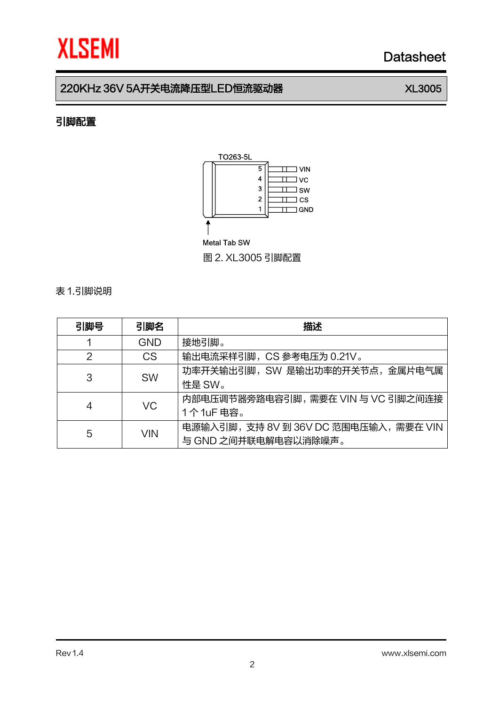## 220KHz 36V 5A开关电流降压型LED恒流驱动器 XL3005

## 引脚配置



### Metal Tab SW

图 2. XL3005 引脚配置

### 表 1.引脚说明

| 引脚号 | 引脚名        | 描述                                                             |  |  |
|-----|------------|----------------------------------------------------------------|--|--|
|     | <b>GND</b> | 接地引脚。                                                          |  |  |
| 2   | <b>CS</b>  | 输出电流采样引脚, CS 参考电压为 0.21V。                                      |  |  |
| 3   | <b>SW</b>  | 功率开关输出引脚, SW 是输出功率的开关节点, 金属片电气属<br>性是 SW。                      |  |  |
| 4   | <b>VC</b>  | 内部电压调节器旁路电容引脚, 需要在 VIN 与 VC 引脚之间连接<br>1个1uF 电容。                |  |  |
| 5   | VIN        | 电源输入引脚, 支持 8V 到 36V DC 范围电压输入, 需要在 VIN<br>与 GND 之间并联电解电容以消除噪声。 |  |  |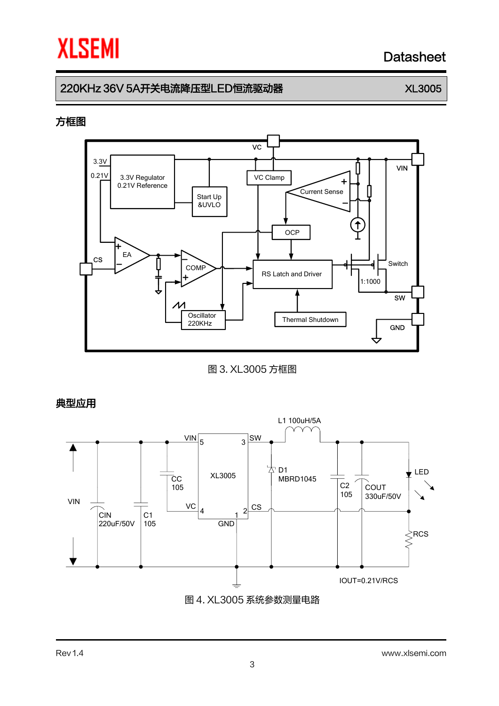## 220KHz 36V 5A开关电流降压型LED恒流驱动器 XL3005

### 方框图



图 3. XL3005 方框图

典型应用

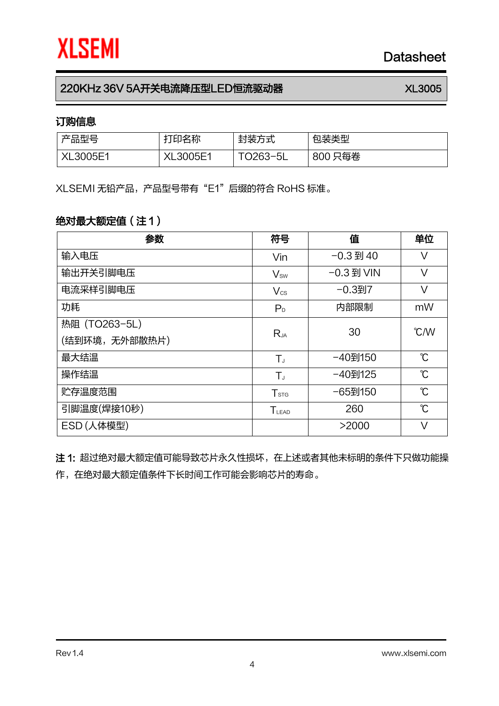## 订购信息

| 产品型号     | 打印名称            | 封装方式  | 句装类型   |
|----------|-----------------|-------|--------|
| XL3005E1 | <b>XL3005F1</b> | $T^2$ | 800只每卷 |

XLSEMI 无铅产品,产品型号带有"E1"后缀的符合 RoHS 标准。

## 绝对最大额定值(注 1)

| 参数            | 符号               | 值            | 单位                        |
|---------------|------------------|--------------|---------------------------|
| 输入电压          | Vin              | $-0.3$ 到 40  | V                         |
| 输出开关引脚电压      | $V_{sw}$         | -0.3 到 VIN   | $\vee$                    |
| 电流采样引脚电压      | $V_{\text{cs}}$  | $-0.3$ 到 $7$ | V                         |
| 功耗            | P <sub>D</sub>   | 内部限制         | mW                        |
| 热阻 (TO263-5L) |                  | 30           | $\mathcal{C}/\mathcal{W}$ |
| (结到环境,无外部散热片) | $R_{JA}$         |              |                           |
| 最大结温          | $T_{J}$          | -40到150      | $\mathcal{C}$             |
| 操作结温          | $T_{J}$          | -40到125      | $\mathcal{C}$             |
| 贮存温度范围        | $T_{\text{STG}}$ | -65到150      | $\mathcal{C}$             |
| 引脚温度(焊接10秒)   | $T_{LEAD}$       | 260          | $\mathcal{C}$             |
| ESD(人体模型)     |                  | >2000        | $\vee$                    |

注 1: 超过绝对最大额定值可能导致芯片永久性损坏, 在上述或者其他未标明的条件下只做功能操 作,在绝对最大额定值条件下长时间工作可能会影响芯片的寿命。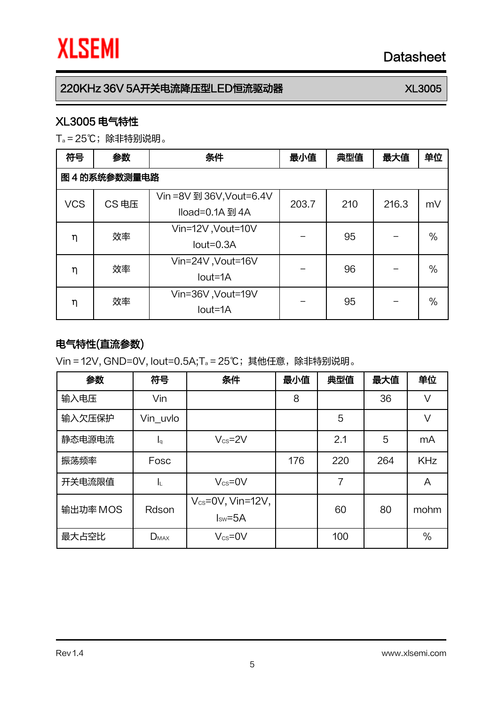## XL3005 电气特性

T<sup>a</sup> = 25℃;除非特别说明。

| 符号                  | 参数 | 条件                                          | 最小值   | 典型值 | 最大值   | 单位   |  |
|---------------------|----|---------------------------------------------|-------|-----|-------|------|--|
| 图 4 的系统参数测量电路       |    |                                             |       |     |       |      |  |
| CS 电压<br><b>VCS</b> |    | Vin =8V 到 36V, Vout=6.4V<br>Iload=0.1A 到 4A | 203.7 | 210 | 216.3 | mV   |  |
| η                   | 效率 | Vin=12V, Vout=10V<br>$Iout=0.3A$            |       | 95  |       | $\%$ |  |
| η                   | 效率 | Vin=24V, Vout=16V<br>lout=1A                |       | 96  |       | $\%$ |  |
| η                   | 效率 | Vin=36V, Vout=19V<br>lout=1A                |       | 95  |       | $\%$ |  |

## 电气特性(直流参数)

Vin = 12V, GND=0V, Iout=0.5A;T<sup>a</sup> = 25℃;其他任意,除非特别说明。

| 参数       | 符号           | 条件                                     | 最小值 | 典型值 | 最大值 | 单位         |
|----------|--------------|----------------------------------------|-----|-----|-----|------------|
| 输入电压     | Vin          |                                        | 8   |     | 36  | V          |
| 输入欠压保护   | Vin uvlo     |                                        |     | 5   |     | $\vee$     |
| 静态电源电流   | $I_{\alpha}$ | $V_{\text{cs}} = 2V$                   |     | 2.1 | 5   | mA         |
| 振荡频率     | Fosc         |                                        | 176 | 220 | 264 | <b>KHz</b> |
| 开关电流限值   | ΙL.          | $V_{cs} = 0V$                          |     | 7   |     | A          |
| 输出功率 MOS | Rdson        | $V_{cs} = 0V$ , Vin=12V,<br>$Isw = 5A$ |     | 60  | 80  | mohm       |
| 最大占空比    | $D_{MAX}$    | $V_{\text{cs}} = 0V$                   |     | 100 |     | $\%$       |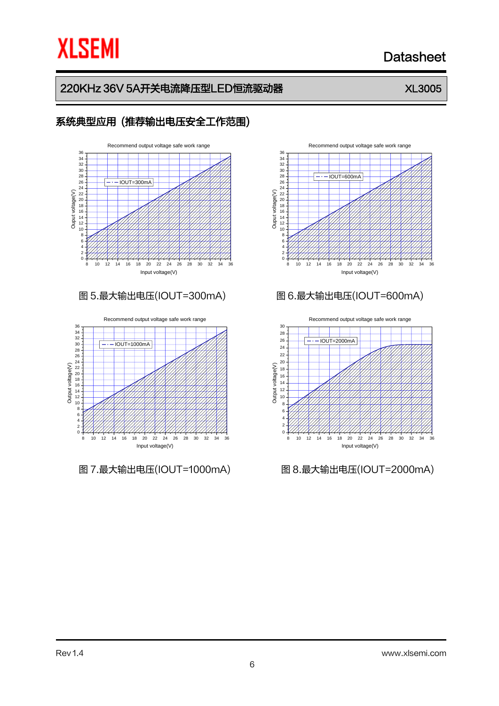## **XLSEMI**

## Datasheet

## 220KHz 36V 5A开关电流降压型LED恒流驱动器 XL3005

## 系统典型应用 (推荐输出电压安全工作范围) 8 10 12 14 16 18 20 22 24 26 28 30 32 34 36 0+4444  $2 + 11111$ 4 – *4 4 4 4 4 4 4 4 4 4 4* 6 - <del>- - - - - - - - - - - - - - -</del>  $8+$ 26<br>22<br>22<br>20<br>10<br>16<br>14<br>12<br>10 28 30 32 34 Recommend output voltage safe work range<br>36  $\frac{1}{2}$  $\sum_{0}^{22}$  22 20<br>  $\frac{22}{16}$  18<br>  $\frac{1}{16}$  16<br>  $\frac{1}{16}$  12<br>  $\frac{1}{16}$  12<br>  $\frac{1}{16}$  12<br>  $\frac{1}{16}$ Input voltage(V)  $-$ IOUT $-300$ mA

8 10 12 14 16 18 20 22 24 26 28 30 32 34 36 0  $+444$ 2 - <del>/ / / / /</del> 4 <del>- 7 7 7 7 7</del> 6 -*4444*4  $8 - \frac{\cancel{11}}{2}$ 32<br>
20<br>
20<br>
20<br>
20<br>
20<br>
10<br>
10<br>
10<br>
10<br>
10 34 Recommend output voltage safe work range  $\sum_{1}^{1}$ <br>  $\sum_{2}^{1}$ <br>  $\sum_{3}^{1}$ <br>  $\sum_{5}^{1}$ <br>  $\sum_{1}^{1}$ <br>  $\sum_{1}^{1}$ <br>  $\sum_{1}^{1}$ <br>  $\sum_{1}^{1}$ <br>  $\sum_{1}^{1}$ <br>  $\sum_{1}^{1}$ Input voltage(V)  $-IOUT=1000mA$ 

6



### 图 5.最大输出电压(IOUT=300mA) 图 6.最大输出电压(IOUT=600mA)



图 7.最大输出电压(IOUT=1000mA) 图 8.最大输出电压(IOUT=2000mA)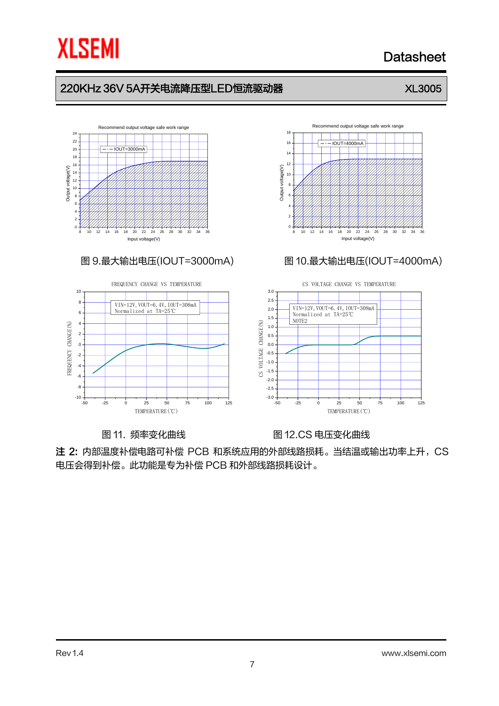

## Datasheet

## 220KHz 36V 5A开关电流降压型LED恒流驱动器 XL3005

### 8 10 12 14 16 18 20 22 24 26 28 30 32 34 36  $0 + 4444$ 2 *XIIII.* 4 <del>- 7 7 7 7 7 7</del>  $6 + 7777$  $8+$ 10 12 14 16 18 20 22 Recommend output voltage safe work range Output voltage(V) Input voltage(V)  $IOUT=3000mA$



图 11. 频率变化曲线 **Allack Market Market Market 图 12.CS 电压变化曲线** 

注 2: 内部温度补偿电路可补偿 PCB 和系统应用的外部线路损耗。当结温或输出功率上升,CS 电压会得到补偿。此功能是专为补偿 PCB 和外部线路损耗设计。

6 <del>1/////</del>  $8+$ 10  $+\$ Recommend output voltage safe work range  $\overline{IOUT}$ 

12 14 16



## 图 9.最大输出电压(IOUT=3000mA) 图 10.最大输出电压(IOUT=4000mA)

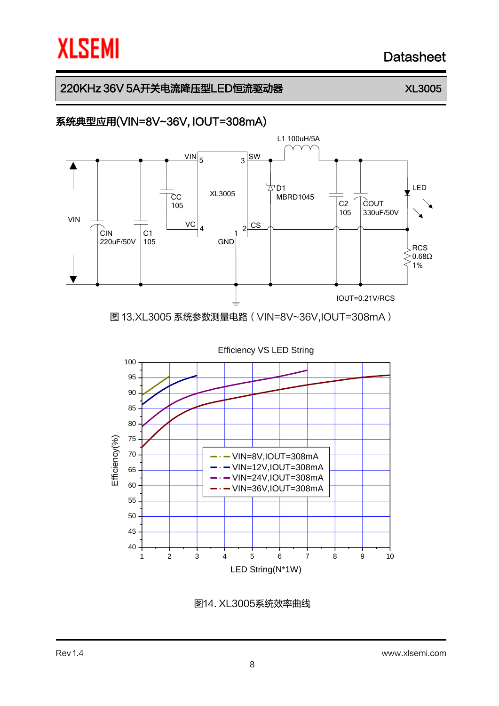## 220KHz 36V 5A开关电流降压型LED恒流驱动器 XL3005

## 系统典型应用(VIN=8V~36V, IOUT=308mA)



图14. XL3005系统效率曲线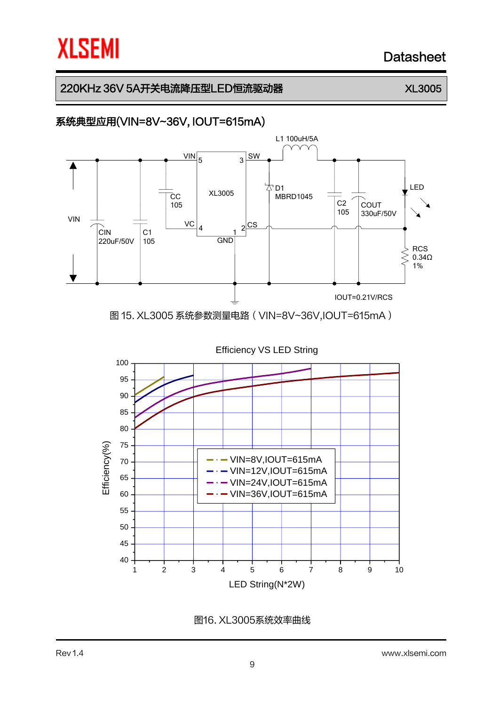## 220KHz 36V 5A开关电流降压型LED恒流驱动器 XL3005

## 系统典型应用(VIN=8V~36V, IOUT=615mA)



图16. XL3005系统效率曲线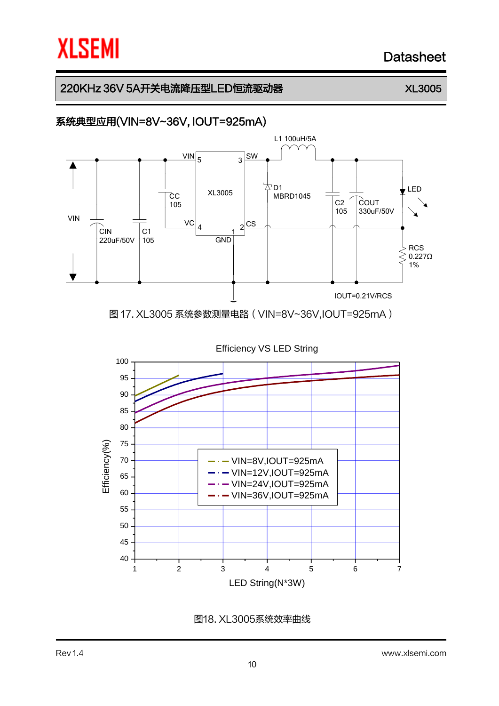## 220KHz 36V 5A开关电流降压型LED恒流驱动器 XL3005

## 系统典型应用(VIN=8V~36V, IOUT=925mA)



图18. XL3005系统效率曲线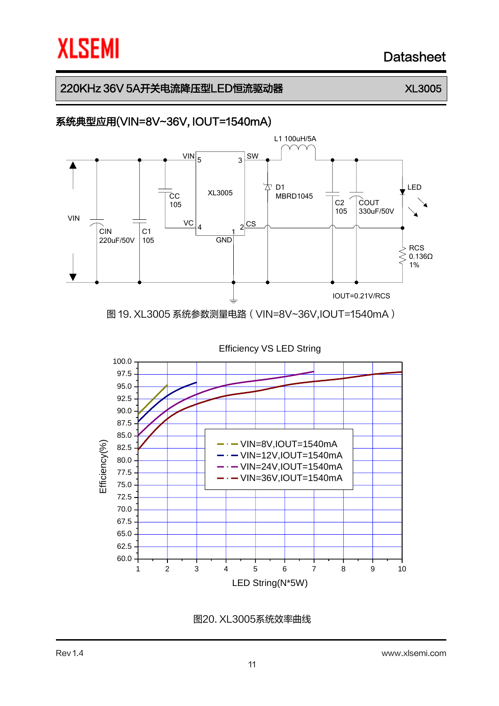## 220KHz 36V 5A开关电流降压型LED恒流驱动器 XL3005

## 系统典型应用(VIN=8V~36V, IOUT=1540mA)



图20. XL3005系统效率曲线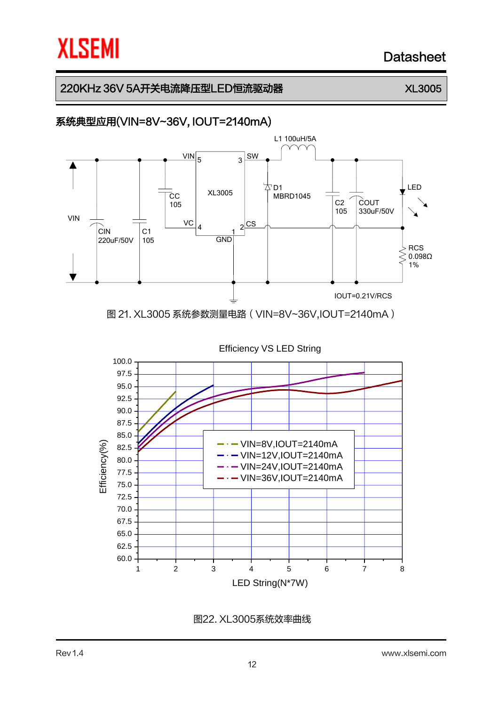## 220KHz 36V 5A开关电流降压型LED恒流驱动器 XL3005

## 系统典型应用(VIN=8V~36V, IOUT=2140mA)



图22. XL3005系统效率曲线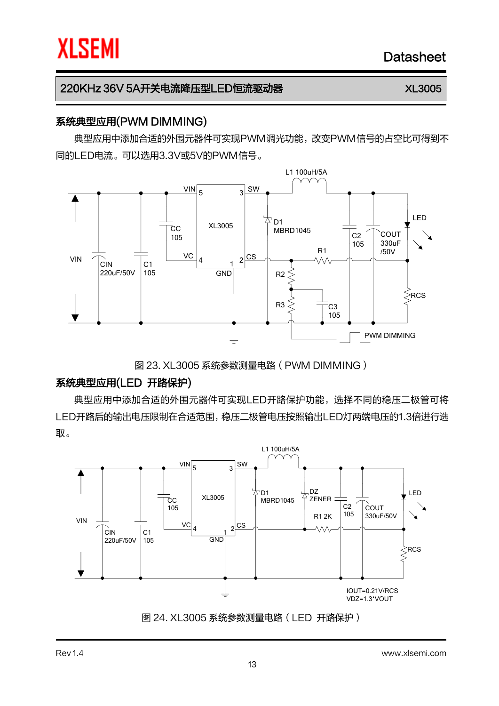### 系统典型应用(PWM DIMMING)

典型应用中添加合适的外围元器件可实现PWM调光功能,改变PWM信号的占空比可得到不 同的LED电流。可以选用3.3V或5V的PWM信号。



图 23. XL3005 系统参数测量电路(PWM DIMMING)

### 系统典型应用(LED 开路保护)

典型应用中添加合适的外围元器件可实现LED开路保护功能,选择不同的稳压二极管可将 LED开路后的输出电压限制在合适范围,稳压二极管电压按照输出LED灯两端电压的1.3倍进行选 取。



图 24. XL3005 系统参数测量电路(LED 开路保护)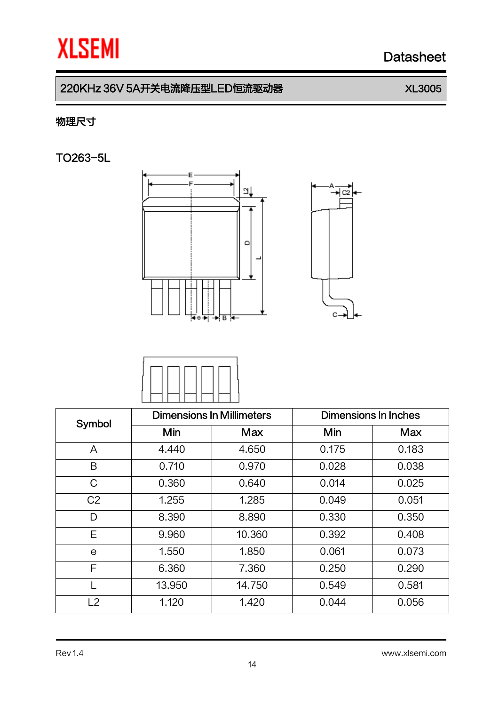c2

c.

## 220KHz 36V 5A开关电流降压型LED恒流驱动器 XL3005

## 物理尺寸

TO263-5L





| Symbol         | <b>Dimensions In Millimeters</b> |            | Dimensions In Inches |       |  |
|----------------|----------------------------------|------------|----------------------|-------|--|
|                | Min                              | <b>Max</b> | Min                  | Max   |  |
| A              | 4.440                            | 4.650      | 0.175                | 0.183 |  |
| B              | 0.710                            | 0.970      | 0.028                | 0.038 |  |
| $\mathcal{C}$  | 0.360                            | 0.640      | 0.014                | 0.025 |  |
| C <sub>2</sub> | 1.255                            | 1.285      | 0.049                | 0.051 |  |
| D              | 8.390                            | 8.890      | 0.330                | 0.350 |  |
| Е              | 9.960                            | 10.360     | 0.392                | 0.408 |  |
| e              | 1.550                            | 1.850      | 0.061                | 0.073 |  |
| F              | 6.360                            | 7.360      | 0.250                | 0.290 |  |
|                | 13.950                           | 14.750     | 0.549                | 0.581 |  |
| L2             | 1.120                            | 1.420      | 0.044                | 0.056 |  |